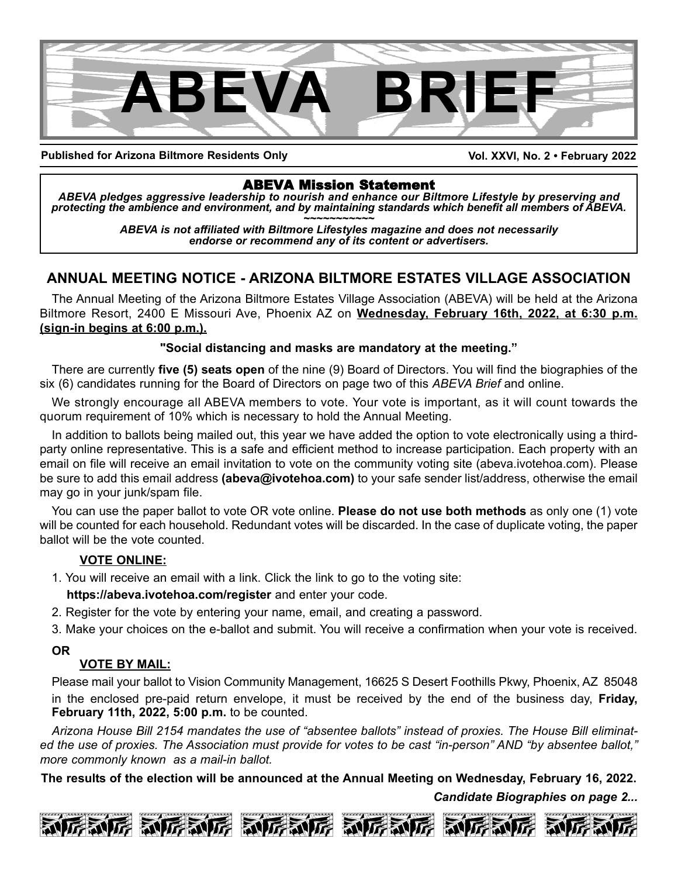

**Published for Arizona Biltmore Residents Only**

**Vol. XXVI, No. 2 • February 2022**

ABEVA Mission Statement *ABEVA pledges aggressive leadership to nourish and enhance our Biltmore Lifestyle by preserving and* protecting the ambience and environment, and by maintaining standards which benefit all members of ABEVA.<br>ABEVA is not affiliated with Biltmore Lifestyles magazine and does not necessarily

*endorse or recommend any of its content or advertisers.*

## **ANNUAL MEETING NOTICE - ARIZONA BILTMORE ESTATES VILLAGE ASSOCIATION**

The Annual Meeting of the Arizona Biltmore Estates Village Association (ABEVA) will be held at the Arizona Biltmore Resort, 2400 E Missouri Ave, Phoenix AZ on **Wednesday, February 16th, 2022, at 6:30 p.m. (sign-in begins at 6:00 p.m.).**

## **"Social distancing and masks are mandatory at the meeting."**

There are currently **five (5) seats open** of the nine (9) Board of Directors. You will find the biographies of the six (6) candidates running for the Board of Directors on page two of this *ABEVA Brief* and online.

We strongly encourage all ABEVA members to vote. Your vote is important, as it will count towards the quorum requirement of 10% which is necessary to hold the Annual Meeting.

In addition to ballots being mailed out, this year we have added the option to vote electronically using a thirdparty online representative. This is a safe and efficient method to increase participation. Each property with an email on file will receive an email invitation to vote on the community voting site (abeva.ivotehoa.com). Please be sure to add this email address **(abeva@ivotehoa.com)** to your safe sender list/address, otherwise the email may go in your junk/spam file.

You can use the paper ballot to vote OR vote online. **Please do not use both methods** as only one (1) vote will be counted for each household. Redundant votes will be discarded. In the case of duplicate voting, the paper ballot will be the vote counted.

## **VOTE ONLINE:**

1. You will receive an email with a link. Click the link to go to the voting site:

**https://abeva.ivotehoa.com/register** and enter your code.

- 2. Register for the vote by entering your name, email, and creating a password.
- 3. Make your choices on the e-ballot and submit. You will receive a confirmation when your vote is received.

## **OR**

## **VOTE BY MAIL:**

Please mail your ballot to Vision Community Management, 16625 S Desert Foothills Pkwy, Phoenix, AZ 85048 in the enclosed pre-paid return envelope, it must be received by the end of the business day, **Friday, February 11th, 2022, 5:00 p.m.** to be counted.

Arizona House Bill 2154 mandates the use of "absentee ballots" instead of proxies. The House Bill eliminated the use of proxies. The Association must provide for votes to be cast "in-person" AND "by absentee ballot." *more commonly known as a mail-in ballot.*

**The results of the election will be announced at the Annual Meeting on Wednesday, February 16, 2022.**

*Candidate Biographies on page 2...*







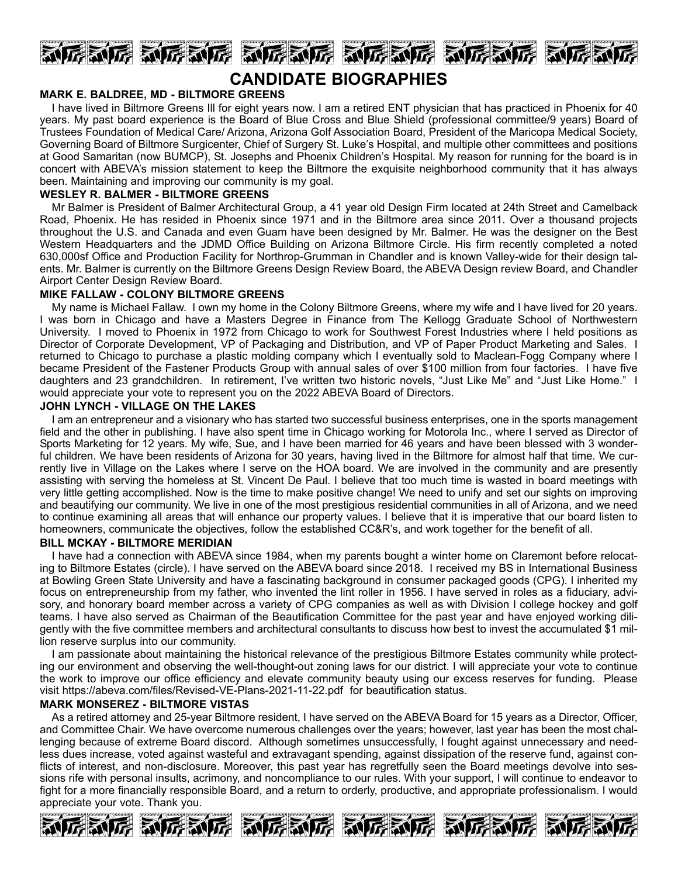

## **CANDIDATE BIOGRAPHIES**

#### **MARK E. BALDREE, MD - BILTMORE GREENS**

I have lived in Biltmore Greens Ill for eight years now. I am a retired ENT physician that has practiced in Phoenix for 40 years. My past board experience is the Board of Blue Cross and Blue Shield (professional committee/9 years) Board of Trustees Foundation of Medical Care/ Arizona, Arizona Golf Association Board, President of the Maricopa Medical Society, Governing Board of Biltmore Surgicenter, Chief of Surgery St. Luke's Hospital, and multiple other committees and positions at Good Samaritan (now BUMCP), St. Josephs and Phoenix Children's Hospital. My reason for running for the board is in concert with ABEVA's mission statement to keep the Biltmore the exquisite neighborhood community that it has always been. Maintaining and improving our community is my goal.

#### **WESLEY R. BALMER - BILTMORE GREENS**

Mr Balmer is President of Balmer Architectural Group, a 41 year old Design Firm located at 24th Street and Camelback Road, Phoenix. He has resided in Phoenix since 1971 and in the Biltmore area since 2011. Over a thousand projects throughout the U.S. and Canada and even Guam have been designed by Mr. Balmer. He was the designer on the Best Western Headquarters and the JDMD Office Building on Arizona Biltmore Circle. His firm recently completed a noted 630,000sf Office and Production Facility for Northrop-Grumman in Chandler and is known Valley-wide for their design talents. Mr. Balmer is currently on the Biltmore Greens Design Review Board, the ABEVA Design review Board, and Chandler Airport Center Design Review Board.

#### **MIKE FALLAW - COLONY BILTMORE GREENS**

My name is Michael Fallaw. I own my home in the Colony Biltmore Greens, where my wife and I have lived for 20 years. I was born in Chicago and have a Masters Degree in Finance from The Kellogg Graduate School of Northwestern University. I moved to Phoenix in 1972 from Chicago to work for Southwest Forest Industries where I held positions as Director of Corporate Development, VP of Packaging and Distribution, and VP of Paper Product Marketing and Sales. I returned to Chicago to purchase a plastic molding company which I eventually sold to Maclean-Fogg Company where I became President of the Fastener Products Group with annual sales of over \$100 million from four factories. I have five daughters and 23 grandchildren. In retirement, I've written two historic novels, "Just Like Me" and "Just Like Home." I would appreciate your vote to represent you on the 2022 ABEVA Board of Directors.

#### **JOHN LYNCH - VILLAGE ON THE LAKES**

I am an entrepreneur and a visionary who has started two successful business enterprises, one in the sports management field and the other in publishing. I have also spent time in Chicago working for Motorola Inc., where I served as Director of Sports Marketing for 12 years. My wife, Sue, and I have been married for 46 years and have been blessed with 3 wonderful children. We have been residents of Arizona for 30 years, having lived in the Biltmore for almost half that time. We currently live in Village on the Lakes where I serve on the HOA board. We are involved in the community and are presently assisting with serving the homeless at St. Vincent De Paul. I believe that too much time is wasted in board meetings with very little getting accomplished. Now is the time to make positive change! We need to unify and set our sights on improving and beautifying our community. We live in one of the most prestigious residential communities in all of Arizona, and we need to continue examining all areas that will enhance our property values. I believe that it is imperative that our board listen to homeowners, communicate the objectives, follow the established CC&R's, and work together for the benefit of all.

### **BILL MCKAY - BILTMORE MERIDIAN**

I have had a connection with ABEVA since 1984, when my parents bought a winter home on Claremont before relocating to Biltmore Estates (circle). I have served on the ABEVA board since 2018. I received my BS in International Business at Bowling Green State University and have a fascinating background in consumer packaged goods (CPG). I inherited my focus on entrepreneurship from my father, who invented the lint roller in 1956. I have served in roles as a fiduciary, advisory, and honorary board member across a variety of CPG companies as well as with Division I college hockey and golf teams. I have also served as Chairman of the Beautification Committee for the past year and have enjoyed working diligently with the five committee members and architectural consultants to discuss how best to invest the accumulated \$1 million reserve surplus into our community.

I am passionate about maintaining the historical relevance of the prestigious Biltmore Estates community while protecting our environment and observing the well-thought-out zoning laws for our district. I will appreciate your vote to continue the work to improve our office efficiency and elevate community beauty using our excess reserves for funding. Please visit https://abeva.com/files/Revised-VE-Plans-2021-11-22.pdf for beautification status.

#### **MARK MONSEREZ - BILTMORE VISTAS**

As a retired attorney and 25-year Biltmore resident, I have served on the ABEVA Board for 15 years as a Director, Officer, and Committee Chair. We have overcome numerous challenges over the years; however, last year has been the most challenging because of extreme Board discord. Although sometimes unsuccessfully, I fought against unnecessary and needless dues increase, voted against wasteful and extravagant spending, against dissipation of the reserve fund, against conflicts of interest, and non-disclosure. Moreover, this past year has regretfully seen the Board meetings devolve into sessions rife with personal insults, acrimony, and noncompliance to our rules. With your support, I will continue to endeavor to fight for a more financially responsible Board, and a return to orderly, productive, and appropriate professionalism. I would appreciate your vote. Thank you.

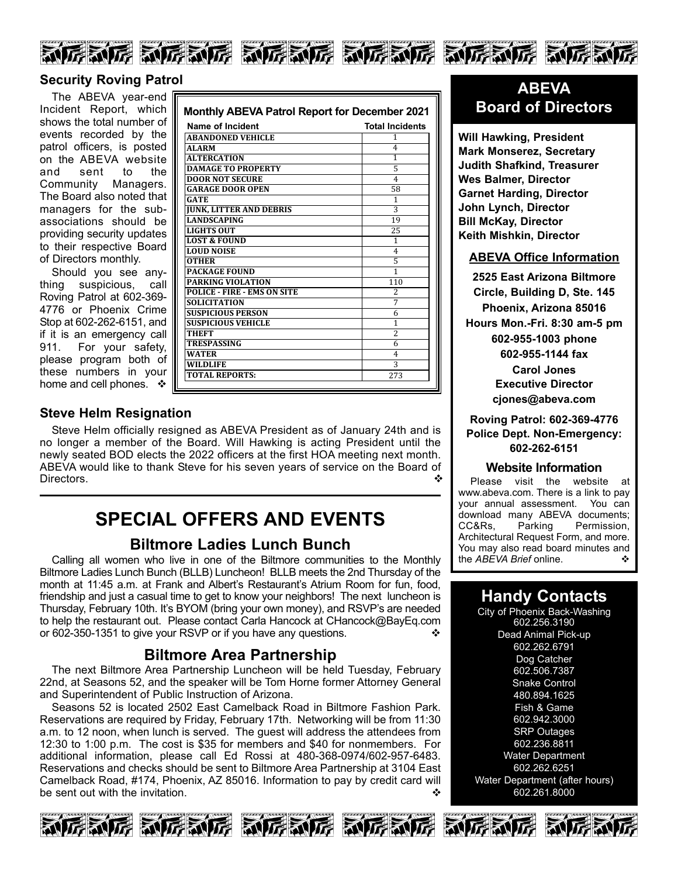







## **Security Roving Patrol**

The ABEVA year-end Incident Report, which shows the total number of events recorded by the patrol officers, is posted on the ABEVA website and sent to the Community Managers. The Board also noted that managers for the subassociations should be providing security updates to their respective Board of Directors monthly.

Should you see anything suspicious, call Roving Patrol at 602-369- 4776 or Phoenix Crime Stop at 602-262-6151, and if it is an emergency call 911. For your safety, please program both of these numbers in your home and cell phones.  $\cdot \cdot \cdot$ 

| Name of Incident                   | <b>Total Incidents</b> |
|------------------------------------|------------------------|
| <b>ABANDONED VEHICLE</b>           | 1                      |
| <b>ALARM</b>                       | 4                      |
| <b>ALTERCATION</b>                 | 1                      |
| <b>DAMAGE TO PROPERTY</b>          | 5                      |
| <b>DOOR NOT SECURE</b>             | 4                      |
| <b>GARAGE DOOR OPEN</b>            | 58                     |
| <b>GATE</b>                        | 1                      |
| <b>JUNK, LITTER AND DEBRIS</b>     | 3                      |
| <b>LANDSCAPING</b>                 | 19                     |
| <b>LIGHTS OUT</b>                  | 25                     |
| <b>LOST &amp; FOUND</b>            | 1                      |
| <b>LOUD NOISE</b>                  | 4                      |
| <b>OTHER</b>                       | 5                      |
| <b>PACKAGE FOUND</b>               | 1                      |
| <b>PARKING VIOLATION</b>           | 110                    |
| <b>POLICE - FIRE - EMS ON SITE</b> | 2                      |
| <b>SOLICITATION</b>                | 7                      |
| <b>SUSPICIOUS PERSON</b>           | 6                      |
| <b>SUSPICIOUS VEHICLE</b>          | 1                      |
| <b>THEFT</b>                       | $\overline{c}$         |
| TRESPASSING                        | 6                      |
| <b>WATER</b>                       | 4                      |
| <b>WILDLIFE</b>                    | 3                      |
| <b>TOTAL REPORTS:</b>              | 273                    |

## **Steve Helm Resignation**

Steve Helm officially resigned as ABEVA President as of January 24th and is no longer a member of the Board. Will Hawking is acting President until the newly seated BOD elects the 2022 officers at the first HOA meeting next month. ABEVA would like to thank Steve for his seven years of service on the Board of Directors.  $\bullet$ 

# **SPECIAL OFFERS AND EVENTS**

## **Biltmore Ladies Lunch Bunch**

Calling all women who live in one of the Biltmore communities to the Monthly Biltmore Ladies Lunch Bunch (BLLB) Luncheon! BLLB meets the 2nd Thursday of the month at 11:45 a.m. at Frank and Albert's Restaurant's Atrium Room for fun, food, friendship and just a casual time to get to know your neighbors! The next luncheon is Thursday, February 10th. It's BYOM (bring your own money), and RSVP's are needed to help the restaurant out. Please contact Carla Hancock at CHancock@BayEq.com or 602-350-1351 to give your RSVP or if you have any questions.

## **Biltmore Area Partnership**

The next Biltmore Area Partnership Luncheon will be held Tuesday, February 22nd, at Seasons 52, and the speaker will be Tom Horne former Attorney General and Superintendent of Public Instruction of Arizona.

Seasons 52 is located 2502 East Camelback Road in Biltmore Fashion Park. Reservations are required by Friday, February 17th. Networking will be from 11:30 a.m. to 12 noon, when lunch is served. The guest will address the attendees from 12:30 to 1:00 p.m. The cost is \$35 for members and \$40 for nonmembers. For additional information, please call Ed Rossi at 480-368-0974/602-957-6483. Reservations and checks should be sent to Biltmore Area Partnership at 3104 East Camelback Road, #174, Phoenix, AZ 85016. Information to pay by credit card will be sent out with the invitation.  $\mathbf{\hat{v}}$ 











**Will Hawking, President Mark Monserez, Secretary Judith Shafkind, Treasurer Wes Balmer, Director Garnet Harding, Director John Lynch, Director Bill McKay, Director Keith Mishkin, Director**

### **ABEVA Office Information**

**2525 East Arizona Biltmore Circle, Building D, Ste. 145 Phoenix, Arizona 85016 Hours Mon.-Fri. 8:30 am-5 pm 602-955-1003 phone 602-955-1144 fax Carol Jones Executive Director cjones@abeva.com**

**Roving Patrol: 602-369-4776 Police Dept. Non-Emergency: 602-262-6151**

#### **Website Information**

Please visit the website at www.abeva.com. There is a link to pay your annual assessment. You can download many ABEVA documents; CC&Rs, Parking Permission, Architectural Request Form, and more. You may also read board minutes and<br>the AREVA Brief online the *ABEVA Brief* online.

## **Handy Contacts**

City of Phoenix Back-Washing 602.256.3190 Dead Animal Pick-up 602.262.6791 Dog Catcher 602.506.7387 Snake Control 480.894.1625 Fish & Game 602.942.3000 SRP Outages 602.236.8811 Water Department 602.262.6251 Water Department (after hours) 602.261.8000